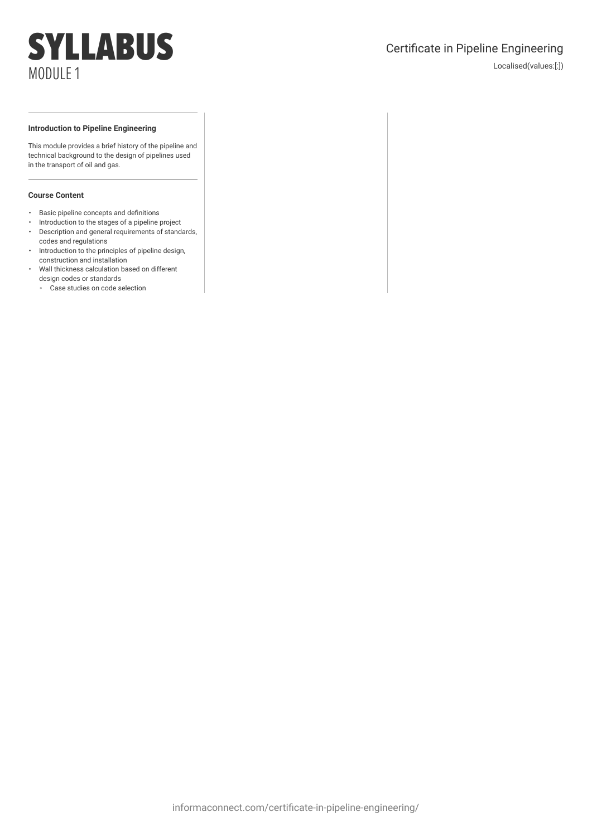## Certificate in Pipeline Engineering

Localised(values:[:])

#### **Introduction to Pipeline Engineering**

This module provides a brief history of the pipeline and technical background to the design of pipelines used in the transport of oil and gas.

- Basic pipeline concepts and definitions
- Introduction to the stages of a pipeline project • Description and general requirements of standards,
- codes and regulations • Introduction to the principles of pipeline design, construction and installation
- Wall thickness calculation based on different design codes or standards
	- Case studies on code selection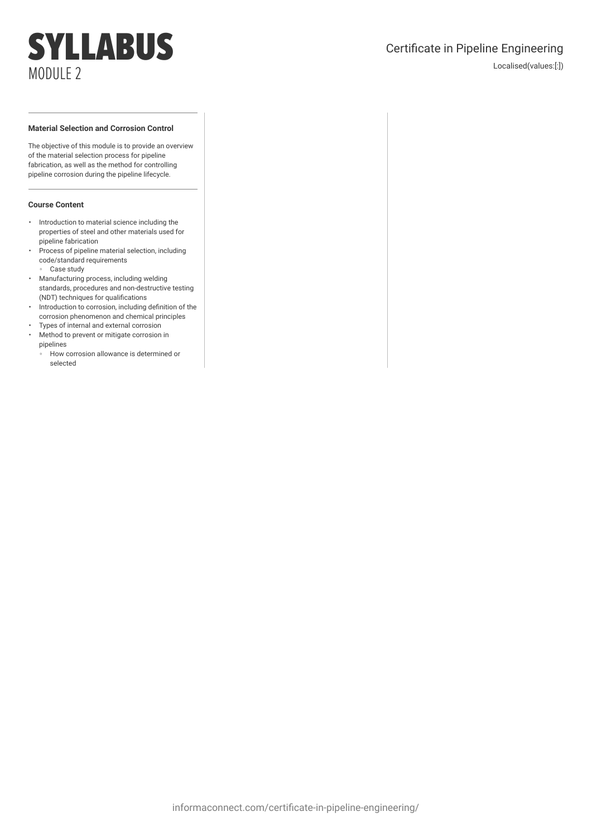## Certificate in Pipeline Engineering

Localised(values:[:])

### **Material Selection and Corrosion Control**

The objective of this module is to provide an overview of the material selection process for pipeline fabrication, as well as the method for controlling pipeline corrosion during the pipeline lifecycle.

- Introduction to material science including the properties of steel and other materials used for pipeline fabrication
- Process of pipeline material selection, including code/standard requirements Case study
- Manufacturing process, including welding standards, procedures and non-destructive testing (NDT) techniques for qualifications
- Introduction to corrosion, including definition of the corrosion phenomenon and chemical principles
- Types of internal and external corrosion • Method to prevent or mitigate corrosion in
- pipelines
- How corrosion allowance is determined or selected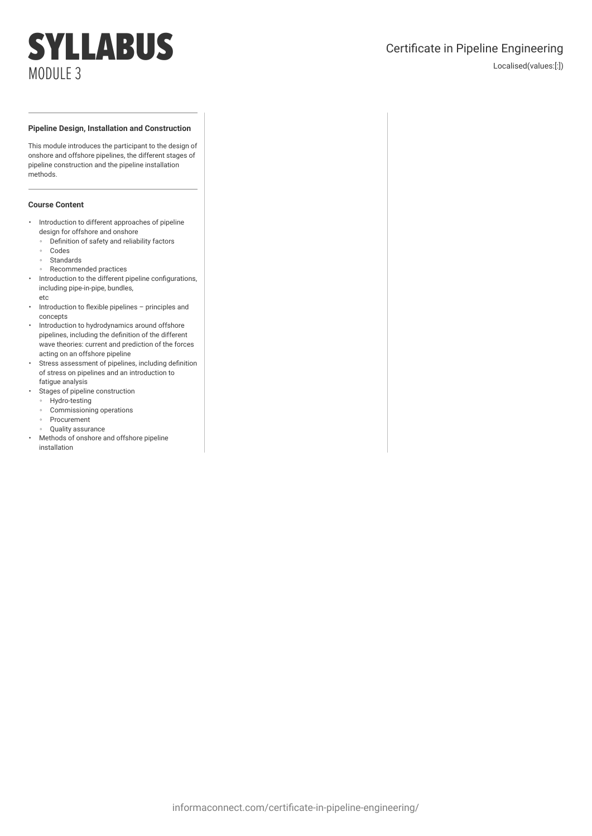## Certificate in Pipeline Engineering

Localised(values:[:])

### **Pipeline Design, Installation and Construction**

This module introduces the participant to the design of onshore and offshore pipelines, the different stages of pipeline construction and the pipeline installation methods.

- Introduction to different approaches of pipeline design for offshore and onshore
	- Definition of safety and reliability factors
	- Codes
	- Standards
	- Recommended practices
- Introduction to the different pipeline configurations, including pipe-in-pipe, bundles, etc
- Introduction to flexible pipelines principles and concepts
- Introduction to hydrodynamics around offshore pipelines, including the definition of the different wave theories: current and prediction of the forces acting on an offshore pipeline
- Stress assessment of pipelines, including definition of stress on pipelines and an introduction to fatigue analysis
- Stages of pipeline construction
	- Hydro-testing
	- Commissioning operations
	- Procurement
	- Quality assurance
- Methods of onshore and offshore pipeline installation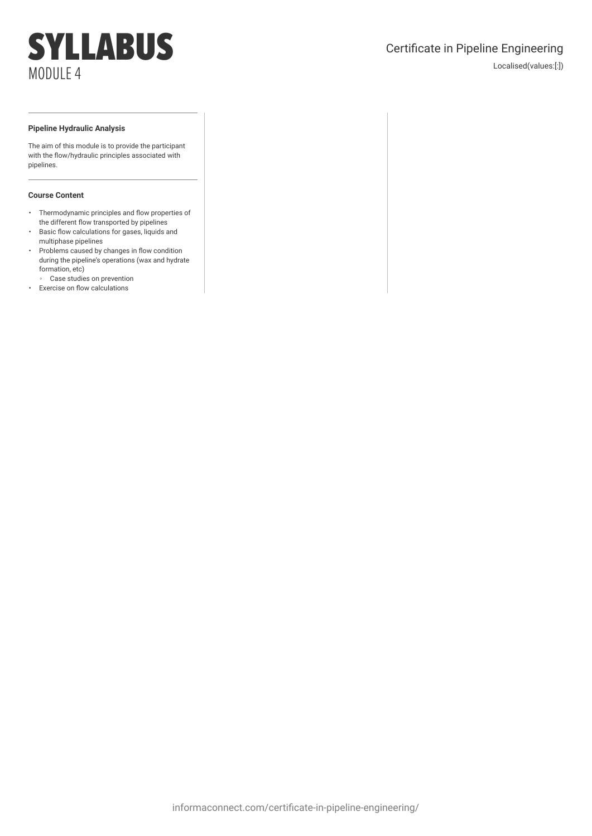## Certificate in Pipeline Engineering

Localised(values:[:])

#### **Pipeline Hydraulic Analysis**

The aim of this module is to provide the participant with the flow/hydraulic principles associated with pipelines.

- Thermodynamic principles and flow properties of the different flow transported by pipelines
- Basic flow calculations for gases, liquids and multiphase pipelines
- Problems caused by changes in flow condition during the pipeline's operations (wax and hydrate formation, etc)
- Case studies on prevention • Exercise on flow calculations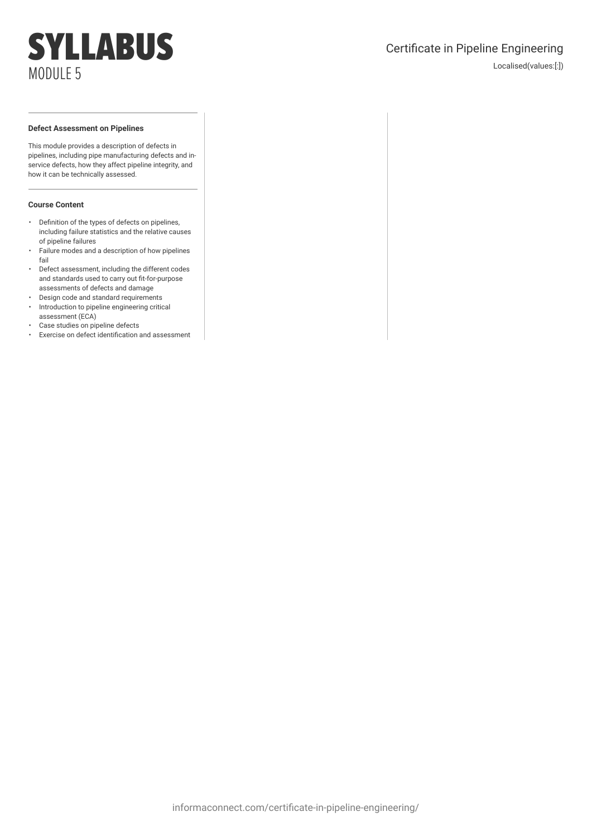## Certificate in Pipeline Engineering

Localised(values:[:])

### **Defect Assessment on Pipelines**

This module provides a description of defects in pipelines, including pipe manufacturing defects and inservice defects, how they affect pipeline integrity, and how it can be technically assessed.

- Definition of the types of defects on pipelines, including failure statistics and the relative causes of pipeline failures
- Failure modes and a description of how pipelines fail
- Defect assessment, including the different codes and standards used to carry out fit-for-purpose assessments of defects and damage
- Design code and standard requirements
- Introduction to pipeline engineering critical assessment (ECA)
- Case studies on pipeline defects
- Exercise on defect identification and assessment